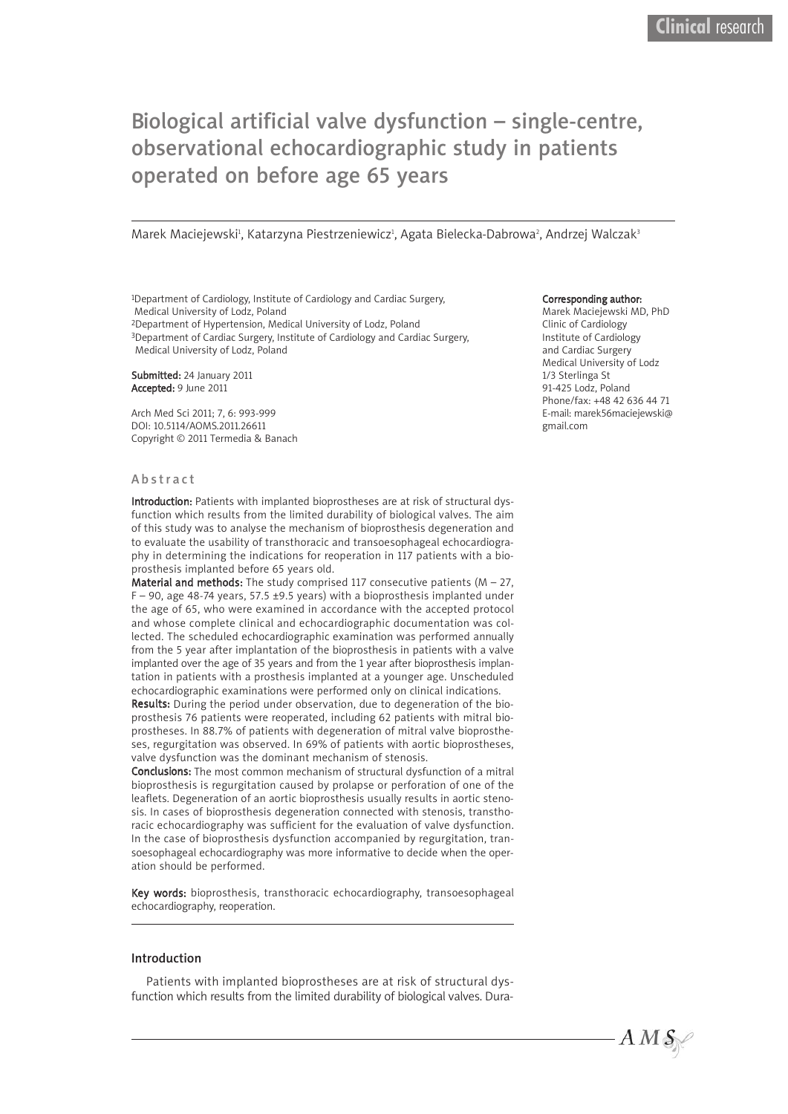# Biological artificial valve dysfunction – single-centre, observational echocardiographic study in patients operated on before age 65 years

Marek Maciejewski<sup>1</sup>, Katarzyna Piestrzeniewicz<sup>ı</sup>, Agata Bielecka-Dabrowa<sup>2</sup>, Andrzej Walczak<sup>3</sup>

1Department of Cardiology, Institute of Cardiology and Cardiac Surgery, Medical University of Lodz, Poland

2Department of Hypertension, Medical University of Lodz, Poland

3Department of Cardiac Surgery, Institute of Cardiology and Cardiac Surgery, Medical University of Lodz, Poland

Submitted: 24 January 2011 Accepted: 9 June 2011

Arch Med Sci 2011; 7, 6: 993-999 DOI: 10.5114/AOMS.2011.26611 Copyright © 2011 Termedia & Banach

#### A b s tr a c t

Introduction: Patients with implanted bioprostheses are at risk of structural dysfunction which results from the limited durability of biological valves. The aim of this study was to analyse the mechanism of bioprosthesis degeneration and to evaluate the usability of transthoracic and transoesophageal echocardiography in determining the indications for reoperation in 117 patients with a bioprosthesis implanted before 65 years old.

**Material and methods:** The study comprised 117 consecutive patients ( $M - 27$ ,  $F - 90$ , age 48-74 years, 57.5 ±9.5 years) with a bioprosthesis implanted under the age of 65, who were examined in accordance with the accepted protocol and whose complete clinical and echocardiographic documentation was collected. The scheduled echocardiographic examination was performed annually from the 5 year after implantation of the bioprosthesis in patients with a valve implanted over the age of 35 years and from the 1 year after bioprosthesis implantation in patients with a prosthesis implanted at a younger age. Unscheduled echocardiographic examinations were performed only on clinical indications.

Results: During the period under observation, due to degeneration of the bioprosthesis 76 patients were reoperated, including 62 patients with mitral bioprostheses. In 88.7% of patients with degeneration of mitral valve bioprostheses, regurgitation was observed. In 69% of patients with aortic bioprostheses, valve dysfunction was the dominant mechanism of stenosis.

Conclusions: The most common mechanism of structural dysfunction of a mitral bioprosthesis is regurgitation caused by prolapse or perforation of one of the leaflets. Degeneration of an aortic bioprosthesis usually results in aortic stenosis. In cases of bioprosthesis degeneration connected with stenosis, transthoracic echocardiography was sufficient for the evaluation of valve dysfunction. In the case of bioprosthesis dysfunction accompanied by regurgitation, transoesophageal echocardiography was more informative to decide when the operation should be performed.

Key words: bioprosthesis, transthoracic echocardiography, transoesophageal echocardiography, reoperation.

#### Introduction

Patients with implanted bioprostheses are at risk of structural dysfunction which results from the limited durability of biological valves. Dura-

#### Corresponding author:

Marek Maciejewski MD, PhD Clinic of Cardiology Institute of Cardiology and Cardiac Surgery Medical University of Lodz 1/3 Sterlinga St 91-425 Lodz, Poland Phone/fax: +48 42 636 44 71 E-mail: marek56maciejewski@ gmail.com

 $A M S$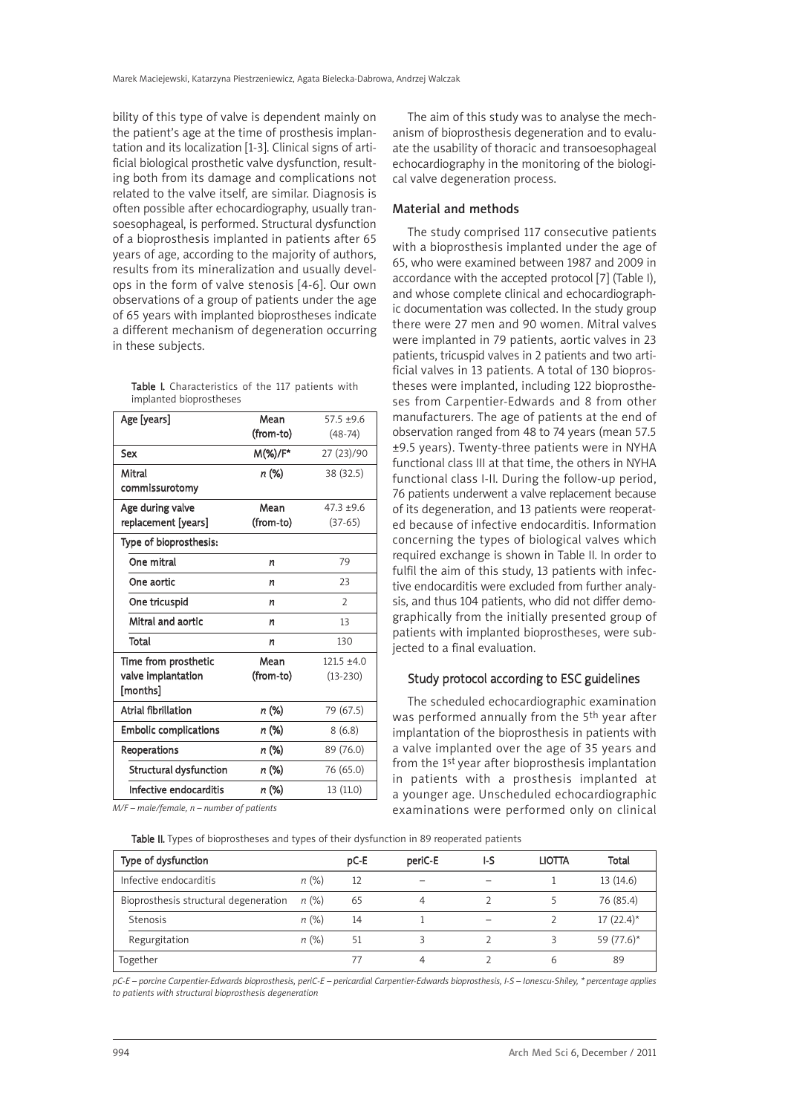bility of this type of valve is dependent mainly on the patient's age at the time of prosthesis implantation and its localization [1-3]. Clinical signs of artificial biological prosthetic valve dysfunction, resulting both from its damage and complications not related to the valve itself, are similar. Diagnosis is often possible after echocardiography, usually transoesophageal, is performed. Structural dysfunction of a bioprosthesis implanted in patients after 65 years of age, according to the majority of authors, results from its mineralization and usually develops in the form of valve stenosis [4-6]. Our own observations of a group of patients under the age of 65 years with implanted bioprostheses indicate a different mechanism of degeneration occurring in these subjects.

Table I. Characteristics of the 117 patients with implanted bioprostheses

| Age [years]                    | Mean      | $57.5 + 9.6$   |  |
|--------------------------------|-----------|----------------|--|
|                                | (from-to) | $(48-74)$      |  |
| Sex                            | M(%)/F*   | 27 (23)/90     |  |
| Mitral                         | n (%)     | 38 (32.5)      |  |
| commissurotomy                 |           |                |  |
| Age during valve               | Mean      | $47.3 + 9.6$   |  |
| replacement [years]            | (from-to) | $(37-65)$      |  |
| Type of bioprosthesis:         |           |                |  |
| One mitral                     | n         | 79             |  |
| One aortic                     | n         | 23             |  |
| One tricuspid                  | n         | $\overline{2}$ |  |
| Mitral and aortic              | n         | 13             |  |
| Total                          | n         | 130            |  |
| Time from prosthetic           | Mean      | $121.5 + 4.0$  |  |
| valve implantation<br>[months] | (from-to) | $(13 - 230)$   |  |
| <b>Atrial fibrillation</b>     | n (%)     | 79 (67.5)      |  |
| <b>Embolic complications</b>   | n (%)     | 8(6.8)         |  |
| Reoperations                   | n (%)     | 89 (76.0)      |  |
| <b>Structural dysfunction</b>  | n (%)     | 76 (65.0)      |  |
| Infective endocarditis         | n (%)     | 13 (11.0)      |  |
|                                |           |                |  |

*M/F – male/female, n – number of patients*

The aim of this study was to analyse the mechanism of bioprosthesis degeneration and to evaluate the usability of thoracic and transoesophageal echocardiography in the monitoring of the biological valve degeneration process.

## Material and methods

The study comprised 117 consecutive patients with a bioprosthesis implanted under the age of 65, who were examined between 1987 and 2009 in accordance with the accepted protocol [7] (Table I), and whose complete clinical and echocardiographic documentation was collected. In the study group there were 27 men and 90 women. Mitral valves were implanted in 79 patients, aortic valves in 23 patients, tricuspid valves in 2 patients and two artificial valves in 13 patients. A total of 130 bioprostheses were implanted, including 122 bioprostheses from Carpentier-Edwards and 8 from other manufacturers. The age of patients at the end of observation ranged from 48 to 74 years (mean 57.5 ±9.5 years). Twenty-three patients were in NYHA functional class III at that time, the others in NYHA functional class I-II. During the follow-up period, 76 patients underwent a valve replacement because of its degeneration, and 13 patients were reoperated because of infective endocarditis. Information concerning the types of biological valves which required exchange is shown in Table II. In order to fulfil the aim of this study, 13 patients with infective endocarditis were excluded from further analysis, and thus 104 patients, who did not differ demographically from the initially presented group of patients with implanted bioprostheses, were subjected to a final evaluation.

## Study protocol according to ESC guidelines

The scheduled echocardiographic examination was performed annually from the 5<sup>th</sup> year after implantation of the bioprosthesis in patients with a valve implanted over the age of 35 years and from the 1st year after bioprosthesis implantation in patients with a prosthesis implanted at a younger age. Unscheduled echocardiographic examinations were performed only on clinical

Table II. Types of bioprostheses and types of their dysfunction in 89 reoperated patients

| Type of dysfunction                   |         | pC-E | periC-E                  | I-S | <b>LIOTTA</b> | Total        |
|---------------------------------------|---------|------|--------------------------|-----|---------------|--------------|
| Infective endocarditis                | n(%)    | 12   | $\overline{\phantom{a}}$ |     |               | 13(14.6)     |
| Bioprosthesis structural degeneration | n (%)   | 65   | 4                        |     |               | 76 (85.4)    |
| Stenosis                              | $n(\%)$ | 14   |                          |     |               | $17(22.4)^*$ |
| Regurgitation                         | $n(\%)$ | 51   | Β                        |     |               | 59 (77.6)*   |
| Together                              |         |      | 4                        |     | b             | 89           |

pC-E - porcine Carpentier-Edwards bioprosthesis, periC-E - pericardial Carpentier-Edwards bioprosthesis, I-S - Ionescu-Shiley, \* percentage applies *to patients with structural bioprosthesis degeneration*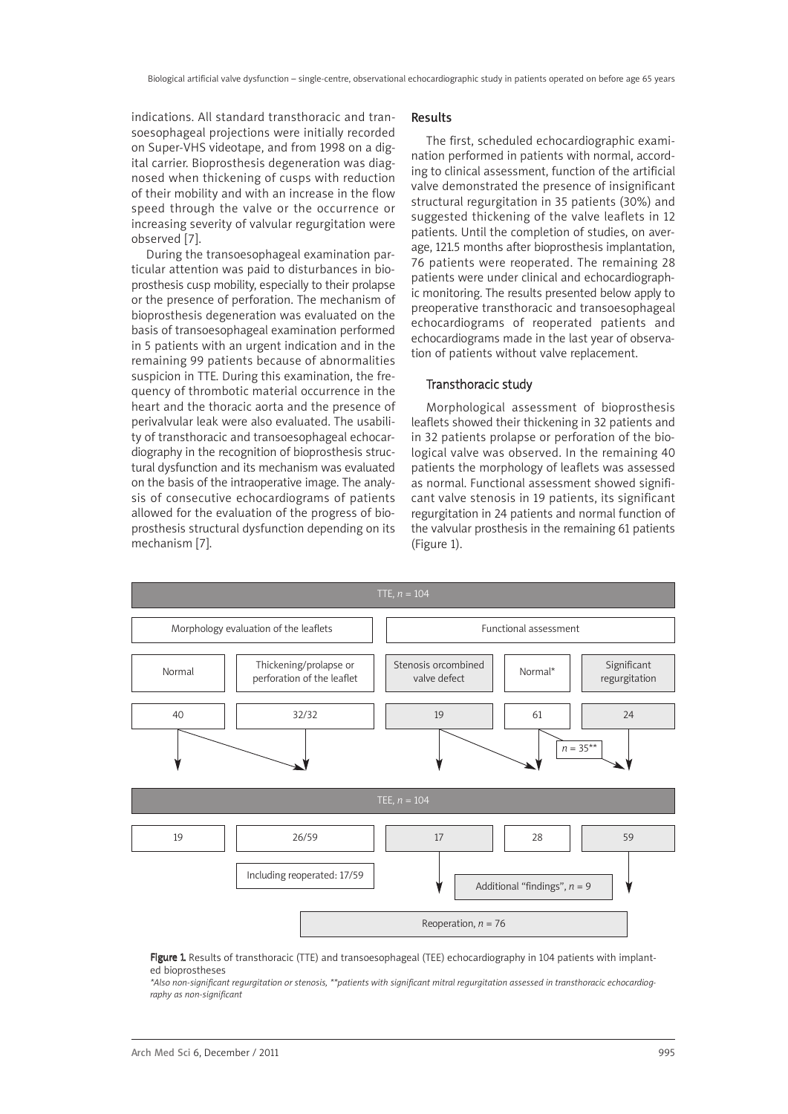indications. All standard transthoracic and transoesophageal projections were initially recorded on Super-VHS videotape, and from 1998 on a digital carrier. Bioprosthesis degeneration was diagnosed when thickening of cusps with reduction of their mobility and with an increase in the flow speed through the valve or the occurrence or increasing severity of valvular regurgitation were observed [7].

During the transoesophageal examination particular attention was paid to disturbances in bioprosthesis cusp mobility, especially to their prolapse or the presence of perforation. The mechanism of bioprosthesis degeneration was evaluated on the basis of transoesophageal examination performed in 5 patients with an urgent indication and in the remaining 99 patients because of abnormalities suspicion in TTE. During this examination, the frequency of thrombotic material occurrence in the heart and the thoracic aorta and the presence of perivalvular leak were also evaluated. The usability of transthoracic and transoesophageal echocardiography in the recognition of bioprosthesis structural dysfunction and its mechanism was evaluated on the basis of the intraoperative image. The analysis of consecutive echocardiograms of patients allowed for the evaluation of the progress of bioprosthesis structural dysfunction depending on its mechanism [7].

#### Results

The first, scheduled echocardiographic examination performed in patients with normal, according to clinical assessment, function of the artificial valve demonstrated the presence of insignificant structural regurgitation in 35 patients (30%) and suggested thickening of the valve leaflets in 12 patients. Until the completion of studies, on average, 121.5 months after bioprosthesis implantation, 76 patients were reoperated. The remaining 28 patients were under clinical and echocardiographic monitoring. The results presented below apply to preoperative transthoracic and transoesophageal echocardiograms of reoperated patients and echocardiograms made in the last year of observation of patients without valve replacement.

# Transthoracic study

Morphological assessment of bioprosthesis leaflets showed their thickening in 32 patients and in 32 patients prolapse or perforation of the biological valve was observed. In the remaining 40 patients the morphology of leaflets was assessed as normal. Functional assessment showed significant valve stenosis in 19 patients, its significant regurgitation in 24 patients and normal function of the valvular prosthesis in the remaining 61 patients (Figure 1).



Figure 1. Results of transthoracic (TTE) and transoesophageal (TEE) echocardiography in 104 patients with implanted bioprostheses

\*Also non-significant regurgitation or stenosis, \*\*patients with significant mitral regurgitation assessed in transthoracic echocardiog*raphy as non-significant*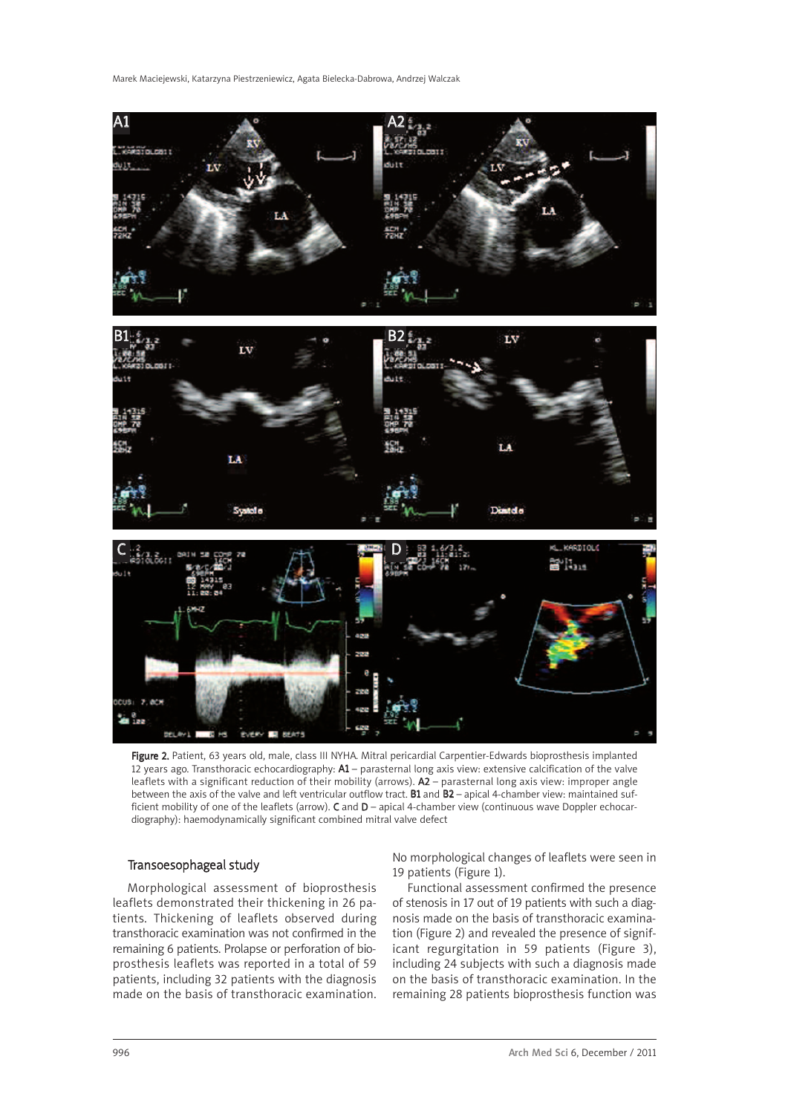Marek Maciejewski, Katarzyna Piestrzeniewicz, Agata Bielecka-Dabrowa, Andrzej Walczak



Figure 2. Patient, 63 years old, male, class III NYHA. Mitral pericardial Carpentier-Edwards bioprosthesis implanted 12 years ago. Transthoracic echocardiography: A1 – parasternal long axis view: extensive calcification of the valve leaflets with a significant reduction of their mobility (arrows). A2 – parasternal long axis view: improper angle between the axis of the valve and left ventricular outflow tract. B1 and B2 – apical 4-chamber view: maintained sufficient mobility of one of the leaflets (arrow). C and D – apical 4-chamber view (continuous wave Doppler echocardiography): haemodynamically significant combined mitral valve defect

# Transoesophageal study

Morphological assessment of bioprosthesis leaflets demonstrated their thickening in 26 patients. Thickening of leaflets observed during transthoracic examination was not confirmed in the remaining 6 patients. Prolapse or perforation of bioprosthesis leaflets was reported in a total of 59 patients, including 32 patients with the diagnosis made on the basis of transthoracic examination. No morphological changes of leaflets were seen in 19 patients (Figure 1).

Functional assessment confirmed the presence of stenosis in 17 out of 19 patients with such a diagnosis made on the basis of transthoracic examination (Figure 2) and revealed the presence of significant regurgitation in 59 patients (Figure 3), including 24 subjects with such a diagnosis made on the basis of transthoracic examination. In the remaining 28 patients bioprosthesis function was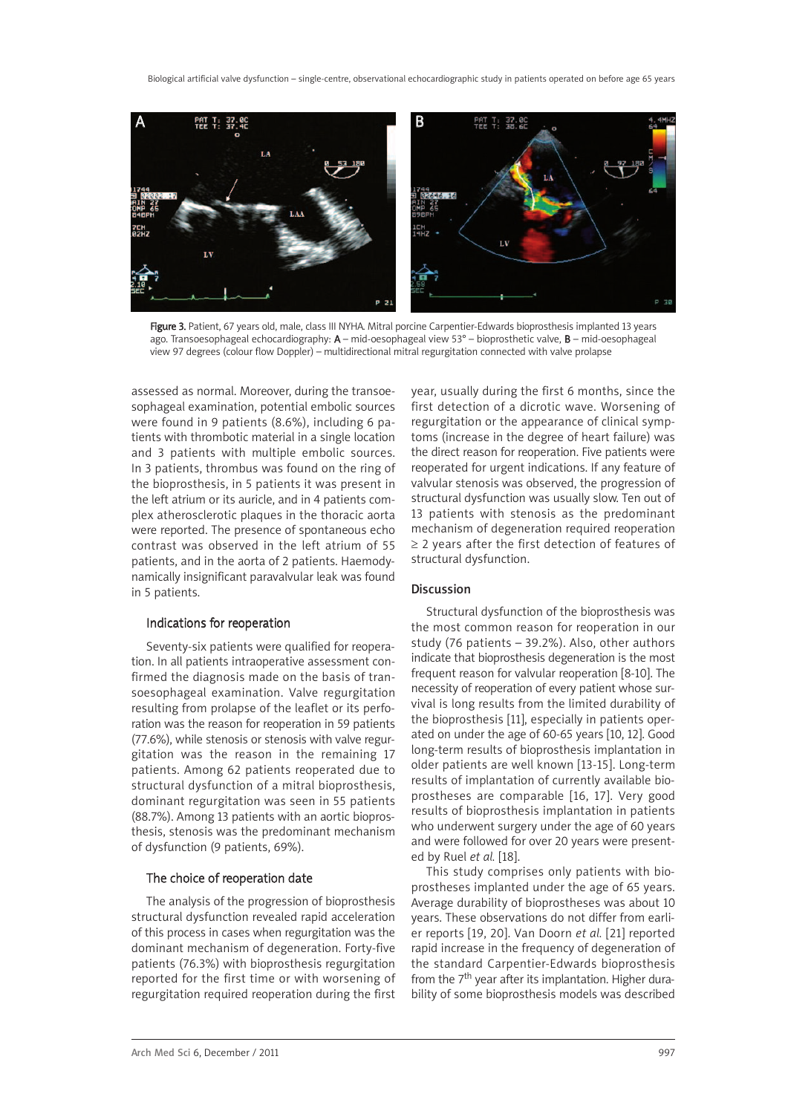

Figure 3. Patient, 67 years old, male, class III NYHA. Mitral porcine Carpentier-Edwards bioprosthesis implanted 13 years ago. Transoesophageal echocardiography: A – mid-oesophageal view 53° – bioprosthetic valve, B – mid-oesophageal view 97 degrees (colour flow Doppler) – multidirectional mitral regurgitation connected with valve prolapse

assessed as normal. Moreover, during the transoesophageal examination, potential embolic sources were found in 9 patients (8.6%), including 6 patients with thrombotic material in a single location and 3 patients with multiple embolic sources. In 3 patients, thrombus was found on the ring of the bioprosthesis, in 5 patients it was present in the left atrium or its auricle, and in 4 patients complex atherosclerotic plaques in the thoracic aorta were reported. The presence of spontaneous echo contrast was observed in the left atrium of 55 patients, and in the aorta of 2 patients. Haemodynamically insignificant paravalvular leak was found in 5 patients.

#### Indications for reoperation

Seventy-six patients were qualified for reoperation. In all patients intraoperative assessment confirmed the diagnosis made on the basis of transoesophageal examination. Valve regurgitation resulting from prolapse of the leaflet or its perforation was the reason for reoperation in 59 patients (77.6%), while stenosis or stenosis with valve regurgitation was the reason in the remaining 17 patients. Among 62 patients reoperated due to structural dysfunction of a mitral bioprosthesis, dominant regurgitation was seen in 55 patients (88.7%). Among 13 patients with an aortic bioprosthesis, stenosis was the predominant mechanism of dysfunction (9 patients, 69%).

## The choice of reoperation date

The analysis of the progression of bioprosthesis structural dysfunction revealed rapid acceleration of this process in cases when regurgitation was the dominant mechanism of degeneration. Forty-five patients (76.3%) with bioprosthesis regurgitation reported for the first time or with worsening of regurgitation required reoperation during the first year, usually during the first 6 months, since the first detection of a dicrotic wave. Worsening of regurgitation or the appearance of clinical symptoms (increase in the degree of heart failure) was the direct reason for reoperation. Five patients were reoperated for urgent indications. If any feature of valvular stenosis was observed, the progression of structural dysfunction was usually slow. Ten out of 13 patients with stenosis as the predominant mechanism of degeneration required reoperation ≥ 2 years after the first detection of features of structural dysfunction.

## Discussion

Structural dysfunction of the bioprosthesis was the most common reason for reoperation in our study (76 patients – 39.2%). Also, other authors indicate that bioprosthesis degeneration is the most frequent reason for valvular reoperation [8-10]. The necessity of reoperation of every patient whose survival is long results from the limited durability of the bioprosthesis [11], especially in patients operated on under the age of 60-65 years [10, 12]. Good long-term results of bioprosthesis implantation in older patients are well known [13-15]. Long-term results of implantation of currently available bioprostheses are comparable [16, 17]. Very good results of bioprosthesis implantation in patients who underwent surgery under the age of 60 years and were followed for over 20 years were presented by Ruel *et al.* [18].

This study comprises only patients with bioprostheses implanted under the age of 65 years. Average durability of bioprostheses was about 10 years. These observations do not differ from earlier reports [19, 20]. Van Doorn *et al.* [21] reported rapid increase in the frequency of degeneration of the standard Carpentier-Edwards bioprosthesis from the 7<sup>th</sup> year after its implantation. Higher durability of some bioprosthesis models was described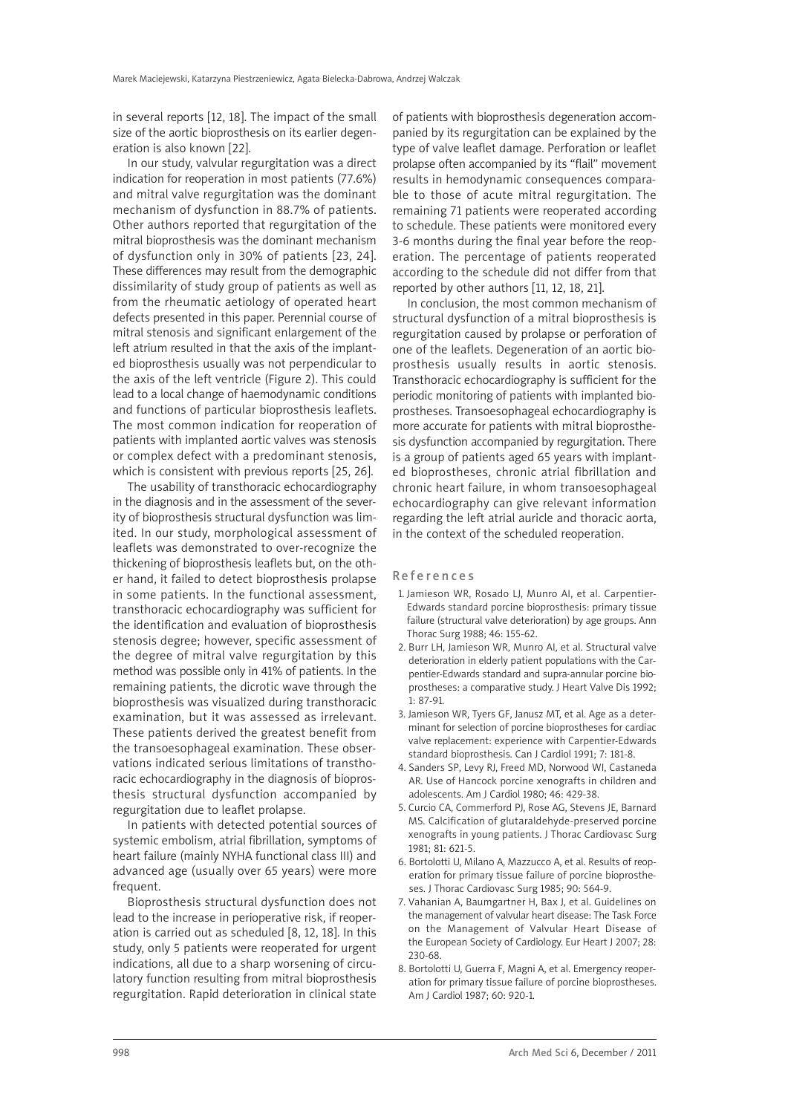in several reports [12, 18]. The impact of the small size of the aortic bioprosthesis on its earlier degeneration is also known [22].

In our study, valvular regurgitation was a direct indication for reoperation in most patients (77.6%) and mitral valve regurgitation was the dominant mechanism of dysfunction in 88.7% of patients. Other authors reported that regurgitation of the mitral bioprosthesis was the dominant mechanism of dysfunction only in 30% of patients [23, 24]. These differences may result from the demographic dissimilarity of study group of patients as well as from the rheumatic aetiology of operated heart defects presented in this paper. Perennial course of mitral stenosis and significant enlargement of the left atrium resulted in that the axis of the implanted bioprosthesis usually was not perpendicular to the axis of the left ventricle (Figure 2). This could lead to a local change of haemodynamic conditions and functions of particular bioprosthesis leaflets. The most common indication for reoperation of patients with implanted aortic valves was stenosis or complex defect with a predominant stenosis, which is consistent with previous reports [25, 26].

The usability of transthoracic echocardiography in the diagnosis and in the assessment of the severity of bioprosthesis structural dysfunction was limited. In our study, morphological assessment of leaflets was demonstrated to over-recognize the thickening of bioprosthesis leaflets but, on the other hand, it failed to detect bioprosthesis prolapse in some patients. In the functional assessment, transthoracic echocardiography was sufficient for the identification and evaluation of bioprosthesis stenosis degree; however, specific assessment of the degree of mitral valve regurgitation by this method was possible only in 41% of patients. In the remaining patients, the dicrotic wave through the bioprosthesis was visualized during transthoracic examination, but it was assessed as irrelevant. These patients derived the greatest benefit from the transoesophageal examination. These observations indicated serious limitations of transthoracic echocardiography in the diagnosis of bioprosthesis structural dysfunction accompanied by regurgitation due to leaflet prolapse.

In patients with detected potential sources of systemic embolism, atrial fibrillation, symptoms of heart failure (mainly NYHA functional class III) and advanced age (usually over 65 years) were more frequent.

Bioprosthesis structural dysfunction does not lead to the increase in perioperative risk, if reoperation is carried out as scheduled [8, 12, 18]. In this study, only 5 patients were reoperated for urgent indications, all due to a sharp worsening of circulatory function resulting from mitral bioprosthesis regurgitation. Rapid deterioration in clinical state of patients with bioprosthesis degeneration accompanied by its regurgitation can be explained by the type of valve leaflet damage. Perforation or leaflet prolapse often accompanied by its "flail" movement results in hemodynamic consequences comparable to those of acute mitral regurgitation. The remaining 71 patients were reoperated according to schedule. These patients were monitored every 3-6 months during the final year before the reoperation. The percentage of patients reoperated according to the schedule did not differ from that reported by other authors [11, 12, 18, 21].

In conclusion, the most common mechanism of structural dysfunction of a mitral bioprosthesis is regurgitation caused by prolapse or perforation of one of the leaflets. Degeneration of an aortic bioprosthesis usually results in aortic stenosis. Transthoracic echocardiography is sufficient for the periodic monitoring of patients with implanted bioprostheses. Transoesophageal echocardiography is more accurate for patients with mitral bioprosthesis dysfunction accompanied by regurgitation. There is a group of patients aged 65 years with implanted bioprostheses, chronic atrial fibrillation and chronic heart failure, in whom transoesophageal echocardiography can give relevant information regarding the left atrial auricle and thoracic aorta, in the context of the scheduled reoperation.

#### **References**

- 1. Jamieson WR, Rosado LJ, Munro AI, et al. Carpentier-Edwards standard porcine bioprosthesis: primary tissue failure (structural valve deterioration) by age groups. Ann Thorac Surg 1988; 46: 155-62.
- 2. Burr LH, Jamieson WR, Munro AI, et al. Structural valve deterioration in elderly patient populations with the Carpentier-Edwards standard and supra-annular porcine bioprostheses: a comparative study. J Heart Valve Dis 1992; 1: 87-91.
- 3. Jamieson WR, Tyers GF, Janusz MT, et al. Age as a determinant for selection of porcine bioprostheses for cardiac valve replacement: experience with Carpentier-Edwards standard bioprosthesis. Can J Cardiol 1991; 7: 181-8.
- 4. Sanders SP, Levy RJ, Freed MD, Norwood WI, Castaneda AR. Use of Hancock porcine xenografts in children and adolescents. Am J Cardiol 1980; 46: 429-38.
- 5. Curcio CA, Commerford PJ, Rose AG, Stevens JE, Barnard MS. Calcification of glutaraldehyde-preserved porcine xenografts in young patients. J Thorac Cardiovasc Surg 1981; 81: 621-5.
- 6. Bortolotti U, Milano A, Mazzucco A, et al. Results of reoperation for primary tissue failure of porcine bioprostheses. J Thorac Cardiovasc Surg 1985; 90: 564-9.
- 7. Vahanian A, Baumgartner H, Bax J, et al. Guidelines on the management of valvular heart disease: The Task Force on the Management of Valvular Heart Disease of the European Society of Cardiology. Eur Heart J 2007; 28: 230-68.
- 8. Bortolotti U, Guerra F, Magni A, et al. Emergency reoperation for primary tissue failure of porcine bioprostheses. Am J Cardiol 1987; 60: 920-1.